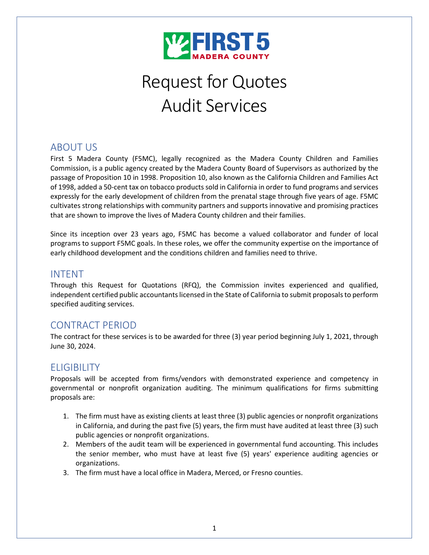

# Request for Quotes Audit Services

# ABOUT US

First 5 Madera County (F5MC), legally recognized as the Madera County Children and Families Commission, is a public agency created by the Madera County Board of Supervisors as authorized by the passage of Proposition 10 in 1998. Proposition 10, also known as the California Children and Families Act of 1998, added a 50-cent tax on tobacco products sold in California in order to fund programs and services expressly for the early development of children from the prenatal stage through five years of age. F5MC cultivates strong relationships with community partners and supports innovative and promising practices that are shown to improve the lives of Madera County children and their families.

Since its inception over 23 years ago, F5MC has become a valued collaborator and funder of local programs to support F5MC goals. In these roles, we offer the community expertise on the importance of early childhood development and the conditions children and families need to thrive.

## INTENT

Through this Request for Quotations (RFQ), the Commission invites experienced and qualified, independent certified public accountants licensed in the State of California to submit proposals to perform specified auditing services.

## CONTRACT PERIOD

The contract for these services is to be awarded for three (3) year period beginning July 1, 2021, through June 30, 2024.

# ELIGIBILITY

Proposals will be accepted from firms/vendors with demonstrated experience and competency in governmental or nonprofit organization auditing. The minimum qualifications for firms submitting proposals are:

- 1. The firm must have as existing clients at least three (3) public agencies or nonprofit organizations in California, and during the past five (5) years, the firm must have audited at least three (3) such public agencies or nonprofit organizations.
- 2. Members of the audit team will be experienced in governmental fund accounting. This includes the senior member, who must have at least five (5) years' experience auditing agencies or organizations.
- 3. The firm must have a local office in Madera, Merced, or Fresno counties.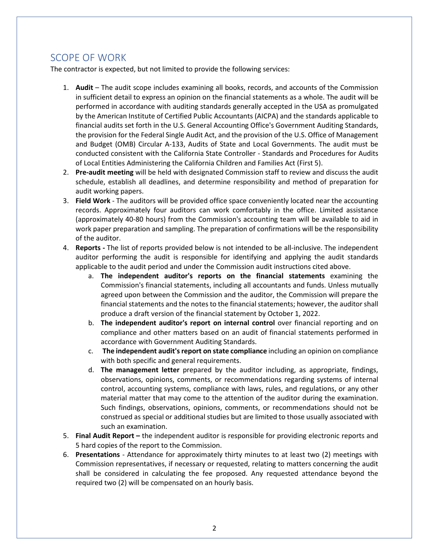# SCOPE OF WORK

The contractor is expected, but not limited to provide the following services:

- 1. **Audit**  The audit scope includes examining all books, records, and accounts of the Commission in sufficient detail to express an opinion on the financial statements as a whole. The audit will be performed in accordance with auditing standards generally accepted in the USA as promulgated by the American Institute of Certified Public Accountants (AICPA) and the standards applicable to financial audits set forth in the U.S. General Accounting Office's Government Auditing Standards, the provision for the Federal Single Audit Act, and the provision of the U.S. Office of Management and Budget (OMB) Circular A-133, Audits of State and Local Governments. The audit must be conducted consistent with the California State Controller - Standards and Procedures for Audits of Local Entities Administering the California Children and Families Act (First 5).
- 2. **Pre-audit meeting** will be held with designated Commission staff to review and discuss the audit schedule, establish all deadlines, and determine responsibility and method of preparation for audit working papers.
- 3. **Field Work** The auditors will be provided office space conveniently located near the accounting records. Approximately four auditors can work comfortably in the office. Limited assistance (approximately 40-80 hours) from the Commission's accounting team will be available to aid in work paper preparation and sampling. The preparation of confirmations will be the responsibility of the auditor.
- 4. **Reports -** The list of reports provided below is not intended to be all-inclusive. The independent auditor performing the audit is responsible for identifying and applying the audit standards applicable to the audit period and under the Commission audit instructions cited above.
	- a. **The independent auditor's reports on the financial statements** examining the Commission's financial statements, including all accountants and funds. Unless mutually agreed upon between the Commission and the auditor, the Commission will prepare the financial statements and the notes to the financial statements; however, the auditor shall produce a draft version of the financial statement by October 1, 2022.
	- b. **The independent auditor's report on internal control** over financial reporting and on compliance and other matters based on an audit of financial statements performed in accordance with Government Auditing Standards.
	- c. **The independent audit's report on state compliance** including an opinion on compliance with both specific and general requirements.
	- d. **The management letter** prepared by the auditor including, as appropriate, findings, observations, opinions, comments, or recommendations regarding systems of internal control, accounting systems, compliance with laws, rules, and regulations, or any other material matter that may come to the attention of the auditor during the examination. Such findings, observations, opinions, comments, or recommendations should not be construed as special or additional studies but are limited to those usually associated with such an examination.
- 5. **Final Audit Report –** the independent auditor is responsible for providing electronic reports and 5 hard copies of the report to the Commission.
- 6. **Presentations** Attendance for approximately thirty minutes to at least two (2) meetings with Commission representatives, if necessary or requested, relating to matters concerning the audit shall be considered in calculating the fee proposed. Any requested attendance beyond the required two (2) will be compensated on an hourly basis.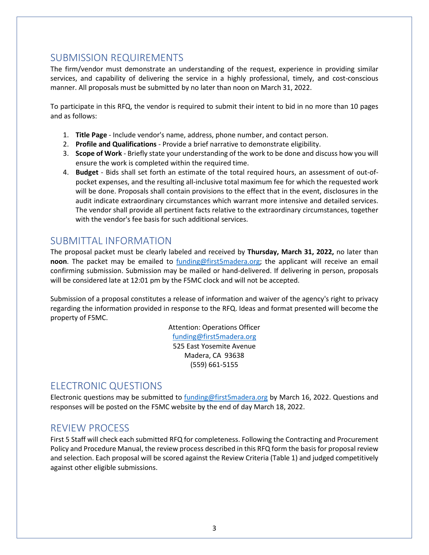## SUBMISSION REQUIREMENTS

The firm/vendor must demonstrate an understanding of the request, experience in providing similar services, and capability of delivering the service in a highly professional, timely, and cost-conscious manner. All proposals must be submitted by no later than noon on March 31, 2022.

To participate in this RFQ, the vendor is required to submit their intent to bid in no more than 10 pages and as follows:

- 1. **Title Page** Include vendor's name, address, phone number, and contact person.
- 2. **Profile and Qualifications** Provide a brief narrative to demonstrate eligibility.
- 3. **Scope of Work** Briefly state your understanding of the work to be done and discuss how you will ensure the work is completed within the required time.
- 4. **Budget** Bids shall set forth an estimate of the total required hours, an assessment of out-ofpocket expenses, and the resulting all-inclusive total maximum fee for which the requested work will be done. Proposals shall contain provisions to the effect that in the event, disclosures in the audit indicate extraordinary circumstances which warrant more intensive and detailed services. The vendor shall provide all pertinent facts relative to the extraordinary circumstances, together with the vendor's fee basis for such additional services.

#### SUBMITTAL INFORMATION

The proposal packet must be clearly labeled and received by **Thursday, March 31, 2022,** no later than **noon**. The packet may be emailed to [funding@first5madera.org;](mailto:funding@first5madera.org) the applicant will receive an email confirming submission. Submission may be mailed or hand-delivered. If delivering in person, proposals will be considered late at 12:01 pm by the F5MC clock and will not be accepted.

Submission of a proposal constitutes a release of information and waiver of the agency's right to privacy regarding the information provided in response to the RFQ. Ideas and format presented will become the property of F5MC.

> Attention: Operations Officer [funding@first5madera.org](mailto:funding@first5madera.org) 525 East Yosemite Avenue Madera, CA 93638 (559) 661-5155

# ELECTRONIC QUESTIONS

Electronic questions may be submitted to [funding@first5madera.org](mailto:funding@first5madera.org) by March 16, 2022. Questions and responses will be posted on the F5MC website by the end of day March 18, 2022.

## REVIEW PROCESS

First 5 Staff will check each submitted RFQ for completeness. Following the Contracting and Procurement Policy and Procedure Manual, the review process described in this RFQ form the basis for proposal review and selection. Each proposal will be scored against the Review Criteria (Table 1) and judged competitively against other eligible submissions.